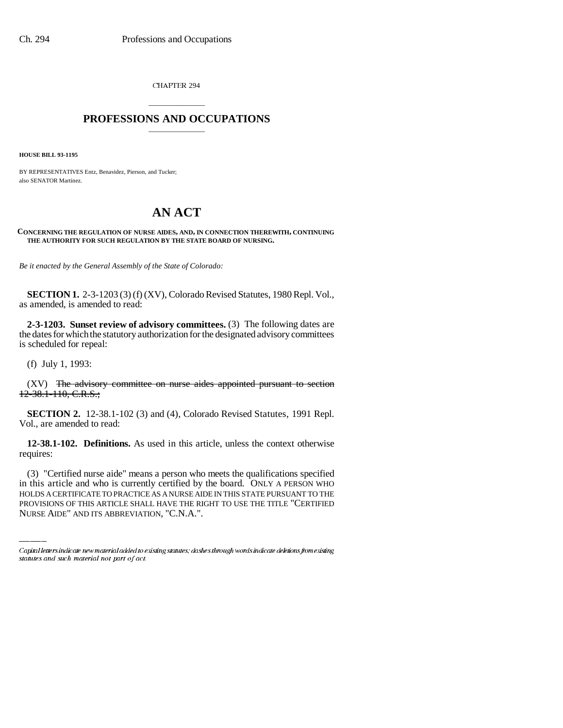CHAPTER 294

## \_\_\_\_\_\_\_\_\_\_\_\_\_\_\_ **PROFESSIONS AND OCCUPATIONS** \_\_\_\_\_\_\_\_\_\_\_\_\_\_\_

**HOUSE BILL 93-1195**

BY REPRESENTATIVES Entz, Benavidez, Pierson, and Tucker; also SENATOR Martinez.

# **AN ACT**

### **CONCERNING THE REGULATION OF NURSE AIDES, AND, IN CONNECTION THEREWITH, CONTINUING THE AUTHORITY FOR SUCH REGULATION BY THE STATE BOARD OF NURSING.**

*Be it enacted by the General Assembly of the State of Colorado:*

**SECTION 1.** 2-3-1203 (3) (f) (XV), Colorado Revised Statutes, 1980 Repl. Vol., as amended, is amended to read:

**2-3-1203. Sunset review of advisory committees.** (3) The following dates are the dates for which the statutory authorization for the designated advisory committees is scheduled for repeal:

(f) July 1, 1993:

(XV) The advisory committee on nurse aides appointed pursuant to section 12-38.1-110, C.R.S.;

**SECTION 2.** 12-38.1-102 (3) and (4), Colorado Revised Statutes, 1991 Repl. Vol., are amended to read:

**12-38.1-102. Definitions.** As used in this article, unless the context otherwise requires:

(3) "Certified nurse aide" means a person who meets the qualifications specified in this article and who is currently certified by the board. ONLY A PERSON WHO HOLDS A CERTIFICATE TO PRACTICE AS A NURSE AIDE IN THIS STATE PURSUANT TO THE PROVISIONS OF THIS ARTICLE SHALL HAVE THE RIGHT TO USE THE TITLE "CERTIFIED NURSE AIDE" AND ITS ABBREVIATION, "C.N.A.".

Capital letters indicate new material added to existing statutes; dashes through words indicate deletions from existing statutes and such material not part of act.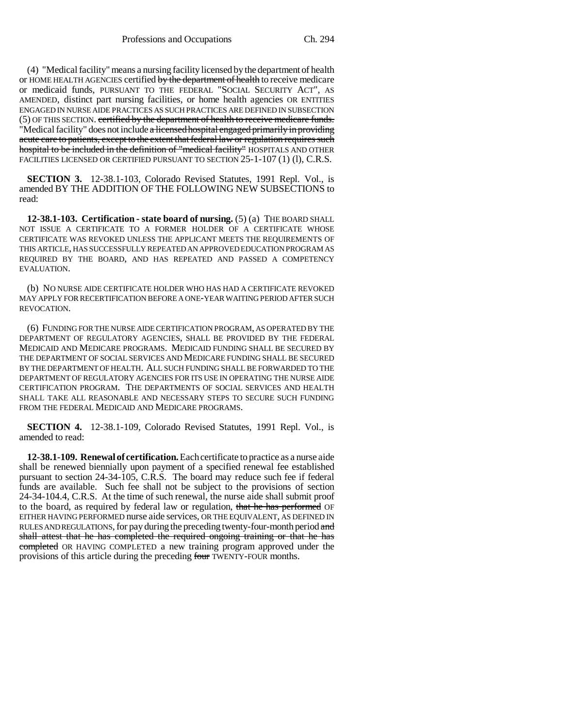(4) "Medical facility" means a nursing facility licensed by the department of health or HOME HEALTH AGENCIES certified by the department of health to receive medicare or medicaid funds, PURSUANT TO THE FEDERAL "SOCIAL SECURITY ACT", AS AMENDED, distinct part nursing facilities, or home health agencies OR ENTITIES ENGAGED IN NURSE AIDE PRACTICES AS SUCH PRACTICES ARE DEFINED IN SUBSECTION (5) OF THIS SECTION. certified by the department of health to receive medicare funds. "Medical facility" does not include a licensed hospital engaged primarily in providing acute care to patients, except to the extent that federal law or regulation requires such hospital to be included in the definition of "medical facility" HOSPITALS AND OTHER FACILITIES LICENSED OR CERTIFIED PURSUANT TO SECTION 25-1-107 (1) (1), C.R.S.

**SECTION 3.** 12-38.1-103, Colorado Revised Statutes, 1991 Repl. Vol., is amended BY THE ADDITION OF THE FOLLOWING NEW SUBSECTIONS to read:

**12-38.1-103. Certification - state board of nursing.** (5) (a) THE BOARD SHALL NOT ISSUE A CERTIFICATE TO A FORMER HOLDER OF A CERTIFICATE WHOSE CERTIFICATE WAS REVOKED UNLESS THE APPLICANT MEETS THE REQUIREMENTS OF THIS ARTICLE, HAS SUCCESSFULLY REPEATED AN APPROVED EDUCATION PROGRAM AS REQUIRED BY THE BOARD, AND HAS REPEATED AND PASSED A COMPETENCY EVALUATION.

(b) NO NURSE AIDE CERTIFICATE HOLDER WHO HAS HAD A CERTIFICATE REVOKED MAY APPLY FOR RECERTIFICATION BEFORE A ONE-YEAR WAITING PERIOD AFTER SUCH REVOCATION.

(6) FUNDING FOR THE NURSE AIDE CERTIFICATION PROGRAM, AS OPERATED BY THE DEPARTMENT OF REGULATORY AGENCIES, SHALL BE PROVIDED BY THE FEDERAL MEDICAID AND MEDICARE PROGRAMS. MEDICAID FUNDING SHALL BE SECURED BY THE DEPARTMENT OF SOCIAL SERVICES AND MEDICARE FUNDING SHALL BE SECURED BY THE DEPARTMENT OF HEALTH. ALL SUCH FUNDING SHALL BE FORWARDED TO THE DEPARTMENT OF REGULATORY AGENCIES FOR ITS USE IN OPERATING THE NURSE AIDE CERTIFICATION PROGRAM. THE DEPARTMENTS OF SOCIAL SERVICES AND HEALTH SHALL TAKE ALL REASONABLE AND NECESSARY STEPS TO SECURE SUCH FUNDING FROM THE FEDERAL MEDICAID AND MEDICARE PROGRAMS.

**SECTION 4.** 12-38.1-109, Colorado Revised Statutes, 1991 Repl. Vol., is amended to read:

**12-38.1-109. Renewal of certification.** Each certificate to practice as a nurse aide shall be renewed biennially upon payment of a specified renewal fee established pursuant to section 24-34-105, C.R.S. The board may reduce such fee if federal funds are available. Such fee shall not be subject to the provisions of section 24-34-104.4, C.R.S. At the time of such renewal, the nurse aide shall submit proof to the board, as required by federal law or regulation, that he has performed OF EITHER HAVING PERFORMED nurse aide services, OR THE EQUIVALENT, AS DEFINED IN RULES AND REGULATIONS, for pay during the preceding twenty-four-month period and shall attest that he has completed the required ongoing training or that he has completed OR HAVING COMPLETED a new training program approved under the provisions of this article during the preceding four TWENTY-FOUR months.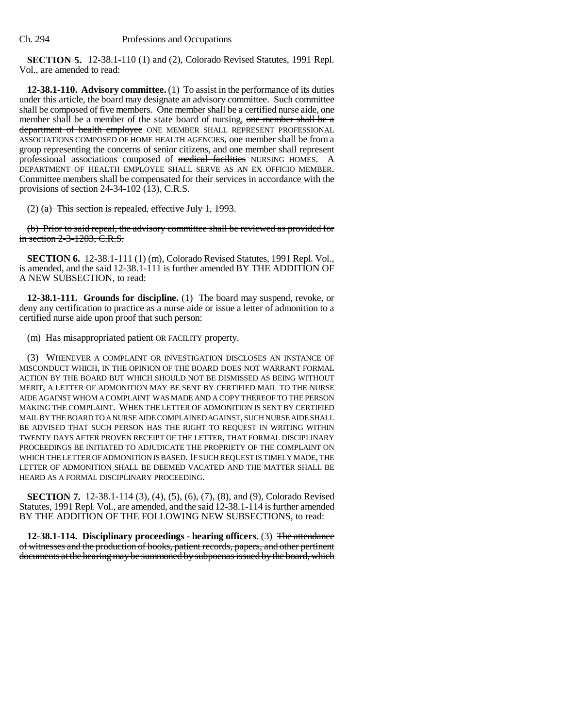**SECTION 5.** 12-38.1-110 (1) and (2), Colorado Revised Statutes, 1991 Repl. Vol., are amended to read:

**12-38.1-110. Advisory committee.** (1) To assist in the performance of its duties under this article, the board may designate an advisory committee. Such committee shall be composed of five members. One member shall be a certified nurse aide, one member shall be a member of the state board of nursing, one member shall be a department of health employee ONE MEMBER SHALL REPRESENT PROFESSIONAL ASSOCIATIONS COMPOSED OF HOME HEALTH AGENCIES, one member shall be from a group representing the concerns of senior citizens, and one member shall represent professional associations composed of medical facilities NURSING HOMES. A DEPARTMENT OF HEALTH EMPLOYEE SHALL SERVE AS AN EX OFFICIO MEMBER. Committee members shall be compensated for their services in accordance with the provisions of section 24-34-102 (13), C.R.S.

 $(2)$  (a) This section is repealed, effective July 1, 1993.

(b) Prior to said repeal, the advisory committee shall be reviewed as provided for in section 2-3-1203, C.R.S.

**SECTION 6.** 12-38.1-111 (1) (m), Colorado Revised Statutes, 1991 Repl. Vol., is amended, and the said 12-38.1-111 is further amended BY THE ADDITION OF A NEW SUBSECTION, to read:

**12-38.1-111. Grounds for discipline.** (1) The board may suspend, revoke, or deny any certification to practice as a nurse aide or issue a letter of admonition to a certified nurse aide upon proof that such person:

(m) Has misappropriated patient OR FACILITY property.

(3) WHENEVER A COMPLAINT OR INVESTIGATION DISCLOSES AN INSTANCE OF MISCONDUCT WHICH, IN THE OPINION OF THE BOARD DOES NOT WARRANT FORMAL ACTION BY THE BOARD BUT WHICH SHOULD NOT BE DISMISSED AS BEING WITHOUT MERIT, A LETTER OF ADMONITION MAY BE SENT BY CERTIFIED MAIL TO THE NURSE AIDE AGAINST WHOM A COMPLAINT WAS MADE AND A COPY THEREOF TO THE PERSON MAKING THE COMPLAINT. WHEN THE LETTER OF ADMONITION IS SENT BY CERTIFIED MAIL BY THE BOARD TO A NURSE AIDE COMPLAINED AGAINST, SUCH NURSE AIDE SHALL BE ADVISED THAT SUCH PERSON HAS THE RIGHT TO REQUEST IN WRITING WITHIN TWENTY DAYS AFTER PROVEN RECEIPT OF THE LETTER, THAT FORMAL DISCIPLINARY PROCEEDINGS BE INITIATED TO ADJUDICATE THE PROPRIETY OF THE COMPLAINT ON WHICH THE LETTER OF ADMONITION IS BASED. IF SUCH REQUEST IS TIMELY MADE, THE LETTER OF ADMONITION SHALL BE DEEMED VACATED AND THE MATTER SHALL BE HEARD AS A FORMAL DISCIPLINARY PROCEEDING.

**SECTION 7.** 12-38.1-114 (3), (4), (5), (6), (7), (8), and (9), Colorado Revised Statutes, 1991 Repl. Vol., are amended, and the said 12-38.1-114 is further amended BY THE ADDITION OF THE FOLLOWING NEW SUBSECTIONS, to read:

**12-38.1-114. Disciplinary proceedings - hearing officers.** (3) The attendance of witnesses and the production of books, patient records, papers, and other pertinent documents at the hearing may be summoned by subpoenas issued by the board, which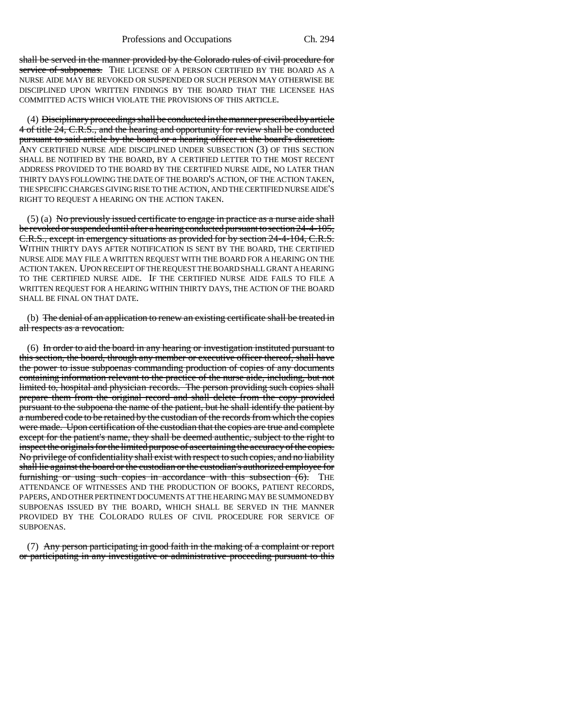shall be served in the manner provided by the Colorado rules of civil procedure for service of subpoenas. THE LICENSE OF A PERSON CERTIFIED BY THE BOARD AS A NURSE AIDE MAY BE REVOKED OR SUSPENDED OR SUCH PERSON MAY OTHERWISE BE DISCIPLINED UPON WRITTEN FINDINGS BY THE BOARD THAT THE LICENSEE HAS COMMITTED ACTS WHICH VIOLATE THE PROVISIONS OF THIS ARTICLE.

(4) Disciplinary proceedings shall be conducted in the manner prescribed by article 4 of title 24, C.R.S., and the hearing and opportunity for review shall be conducted pursuant to said article by the board or a hearing officer at the board's discretion. ANY CERTIFIED NURSE AIDE DISCIPLINED UNDER SUBSECTION (3) OF THIS SECTION SHALL BE NOTIFIED BY THE BOARD, BY A CERTIFIED LETTER TO THE MOST RECENT ADDRESS PROVIDED TO THE BOARD BY THE CERTIFIED NURSE AIDE, NO LATER THAN THIRTY DAYS FOLLOWING THE DATE OF THE BOARD'S ACTION, OF THE ACTION TAKEN, THE SPECIFIC CHARGES GIVING RISE TO THE ACTION, AND THE CERTIFIED NURSE AIDE'S RIGHT TO REQUEST A HEARING ON THE ACTION TAKEN.

 $(5)$  (a) No previously issued certificate to engage in practice as a nurse aide shall be revoked or suspended until after a hearing conducted pursuant to section 24-4-105, C.R.S., except in emergency situations as provided for by section 24-4-104, C.R.S. WITHIN THIRTY DAYS AFTER NOTIFICATION IS SENT BY THE BOARD, THE CERTIFIED NURSE AIDE MAY FILE A WRITTEN REQUEST WITH THE BOARD FOR A HEARING ON THE ACTION TAKEN. UPON RECEIPT OF THE REQUEST THE BOARD SHALL GRANT A HEARING TO THE CERTIFIED NURSE AIDE. IF THE CERTIFIED NURSE AIDE FAILS TO FILE A WRITTEN REQUEST FOR A HEARING WITHIN THIRTY DAYS, THE ACTION OF THE BOARD SHALL BE FINAL ON THAT DATE.

(b) The denial of an application to renew an existing certificate shall be treated in all respects as a revocation.

(6) In order to aid the board in any hearing or investigation instituted pursuant to this section, the board, through any member or executive officer thereof, shall have the power to issue subpoenas commanding production of copies of any documents containing information relevant to the practice of the nurse aide, including, but not limited to, hospital and physician records. The person providing such copies shall prepare them from the original record and shall delete from the copy provided pursuant to the subpoena the name of the patient, but he shall identify the patient by a numbered code to be retained by the custodian of the records from which the copies were made. Upon certification of the custodian that the copies are true and complete except for the patient's name, they shall be deemed authentic, subject to the right to inspect the originals for the limited purpose of ascertaining the accuracy of the copies. No privilege of confidentiality shall exist with respect to such copies, and no liability shall lie against the board or the custodian or the custodian's authorized employee for furnishing or using such copies in accordance with this subsection  $(6)$ . THE ATTENDANCE OF WITNESSES AND THE PRODUCTION OF BOOKS, PATIENT RECORDS, PAPERS, AND OTHER PERTINENT DOCUMENTS AT THE HEARING MAY BE SUMMONED BY SUBPOENAS ISSUED BY THE BOARD, WHICH SHALL BE SERVED IN THE MANNER PROVIDED BY THE COLORADO RULES OF CIVIL PROCEDURE FOR SERVICE OF SUBPOENAS.

(7) Any person participating in good faith in the making of a complaint or report or participating in any investigative or administrative proceeding pursuant to this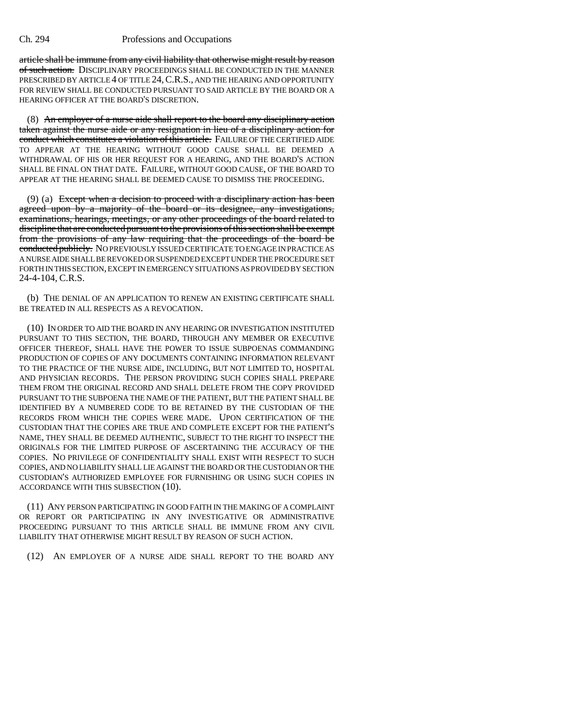#### Ch. 294 Professions and Occupations

article shall be immune from any civil liability that otherwise might result by reason of such action. DISCIPLINARY PROCEEDINGS SHALL BE CONDUCTED IN THE MANNER PRESCRIBED BY ARTICLE 4 OF TITLE 24,C.R.S., AND THE HEARING AND OPPORTUNITY FOR REVIEW SHALL BE CONDUCTED PURSUANT TO SAID ARTICLE BY THE BOARD OR A HEARING OFFICER AT THE BOARD'S DISCRETION.

(8) An employer of a nurse aide shall report to the board any disciplinary action taken against the nurse aide or any resignation in lieu of a disciplinary action for conduct which constitutes a violation of this article. FAILURE OF THE CERTIFIED AIDE TO APPEAR AT THE HEARING WITHOUT GOOD CAUSE SHALL BE DEEMED A WITHDRAWAL OF HIS OR HER REQUEST FOR A HEARING, AND THE BOARD'S ACTION SHALL BE FINAL ON THAT DATE. FAILURE, WITHOUT GOOD CAUSE, OF THE BOARD TO APPEAR AT THE HEARING SHALL BE DEEMED CAUSE TO DISMISS THE PROCEEDING.

(9) (a) Except when a decision to proceed with a disciplinary action has been agreed upon by a majority of the board or its designee, any investigations, examinations, hearings, meetings, or any other proceedings of the board related to discipline that are conducted pursuant to the provisions of this section shall be exempt from the provisions of any law requiring that the proceedings of the board be conducted publicly. NO PREVIOUSLY ISSUED CERTIFICATE TO ENGAGE IN PRACTICE AS A NURSE AIDE SHALL BE REVOKED OR SUSPENDED EXCEPT UNDER THE PROCEDURE SET FORTH IN THIS SECTION, EXCEPT IN EMERGENCY SITUATIONS AS PROVIDED BY SECTION 24-4-104, C.R.S.

(b) THE DENIAL OF AN APPLICATION TO RENEW AN EXISTING CERTIFICATE SHALL BE TREATED IN ALL RESPECTS AS A REVOCATION.

(10) IN ORDER TO AID THE BOARD IN ANY HEARING OR INVESTIGATION INSTITUTED PURSUANT TO THIS SECTION, THE BOARD, THROUGH ANY MEMBER OR EXECUTIVE OFFICER THEREOF, SHALL HAVE THE POWER TO ISSUE SUBPOENAS COMMANDING PRODUCTION OF COPIES OF ANY DOCUMENTS CONTAINING INFORMATION RELEVANT TO THE PRACTICE OF THE NURSE AIDE, INCLUDING, BUT NOT LIMITED TO, HOSPITAL AND PHYSICIAN RECORDS. THE PERSON PROVIDING SUCH COPIES SHALL PREPARE THEM FROM THE ORIGINAL RECORD AND SHALL DELETE FROM THE COPY PROVIDED PURSUANT TO THE SUBPOENA THE NAME OF THE PATIENT, BUT THE PATIENT SHALL BE IDENTIFIED BY A NUMBERED CODE TO BE RETAINED BY THE CUSTODIAN OF THE RECORDS FROM WHICH THE COPIES WERE MADE. UPON CERTIFICATION OF THE CUSTODIAN THAT THE COPIES ARE TRUE AND COMPLETE EXCEPT FOR THE PATIENT'S NAME, THEY SHALL BE DEEMED AUTHENTIC, SUBJECT TO THE RIGHT TO INSPECT THE ORIGINALS FOR THE LIMITED PURPOSE OF ASCERTAINING THE ACCURACY OF THE COPIES. NO PRIVILEGE OF CONFIDENTIALITY SHALL EXIST WITH RESPECT TO SUCH COPIES, AND NO LIABILITY SHALL LIE AGAINST THE BOARD OR THE CUSTODIAN OR THE CUSTODIAN'S AUTHORIZED EMPLOYEE FOR FURNISHING OR USING SUCH COPIES IN ACCORDANCE WITH THIS SUBSECTION (10).

(11) ANY PERSON PARTICIPATING IN GOOD FAITH IN THE MAKING OF A COMPLAINT OR REPORT OR PARTICIPATING IN ANY INVESTIGATIVE OR ADMINISTRATIVE PROCEEDING PURSUANT TO THIS ARTICLE SHALL BE IMMUNE FROM ANY CIVIL LIABILITY THAT OTHERWISE MIGHT RESULT BY REASON OF SUCH ACTION.

(12) AN EMPLOYER OF A NURSE AIDE SHALL REPORT TO THE BOARD ANY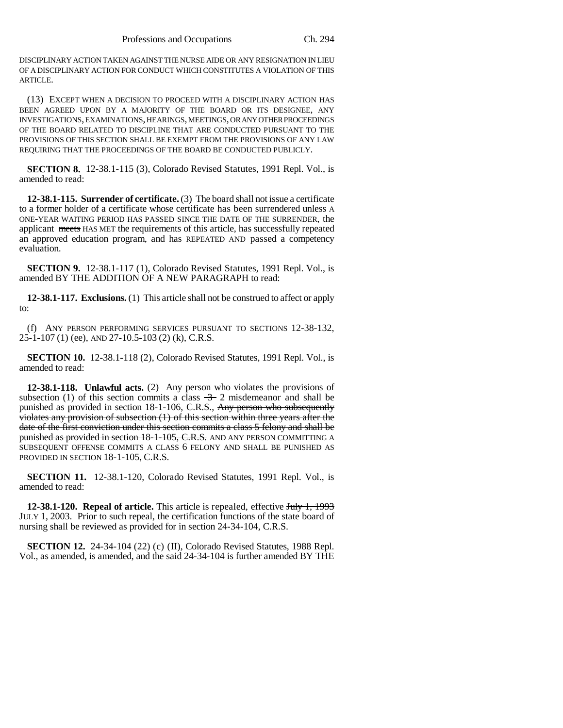DISCIPLINARY ACTION TAKEN AGAINST THE NURSE AIDE OR ANY RESIGNATION IN LIEU OF A DISCIPLINARY ACTION FOR CONDUCT WHICH CONSTITUTES A VIOLATION OF THIS ARTICLE.

(13) EXCEPT WHEN A DECISION TO PROCEED WITH A DISCIPLINARY ACTION HAS BEEN AGREED UPON BY A MAJORITY OF THE BOARD OR ITS DESIGNEE, ANY INVESTIGATIONS, EXAMINATIONS, HEARINGS, MEETINGS, OR ANY OTHER PROCEEDINGS OF THE BOARD RELATED TO DISCIPLINE THAT ARE CONDUCTED PURSUANT TO THE PROVISIONS OF THIS SECTION SHALL BE EXEMPT FROM THE PROVISIONS OF ANY LAW REQUIRING THAT THE PROCEEDINGS OF THE BOARD BE CONDUCTED PUBLICLY.

**SECTION 8.** 12-38.1-115 (3), Colorado Revised Statutes, 1991 Repl. Vol., is amended to read:

**12-38.1-115. Surrender of certificate.** (3) The board shall not issue a certificate to a former holder of a certificate whose certificate has been surrendered unless A ONE-YEAR WAITING PERIOD HAS PASSED SINCE THE DATE OF THE SURRENDER, the applicant meets HAS MET the requirements of this article, has successfully repeated an approved education program, and has REPEATED AND passed a competency evaluation.

**SECTION 9.** 12-38.1-117 (1), Colorado Revised Statutes, 1991 Repl. Vol., is amended BY THE ADDITION OF A NEW PARAGRAPH to read:

**12-38.1-117. Exclusions.** (1) This article shall not be construed to affect or apply to:

(f) ANY PERSON PERFORMING SERVICES PURSUANT TO SECTIONS 12-38-132, 25-1-107 (1) (ee), AND 27-10.5-103 (2) (k), C.R.S.

**SECTION 10.** 12-38.1-118 (2), Colorado Revised Statutes, 1991 Repl. Vol., is amended to read:

**12-38.1-118. Unlawful acts.** (2) Any person who violates the provisions of subsection (1) of this section commits a class  $\rightarrow$  2 misdemeanor and shall be punished as provided in section 18-1-106, C.R.S., Any person who subsequently violates any provision of subsection (1) of this section within three years after the date of the first conviction under this section commits a class 5 felony and shall be punished as provided in section 18-1-105, C.R.S. AND ANY PERSON COMMITTING A SUBSEQUENT OFFENSE COMMITS A CLASS 6 FELONY AND SHALL BE PUNISHED AS PROVIDED IN SECTION 18-1-105, C.R.S.

**SECTION 11.** 12-38.1-120, Colorado Revised Statutes, 1991 Repl. Vol., is amended to read:

**12-38.1-120. Repeal of article.** This article is repealed, effective July 1, 1993 JULY 1, 2003. Prior to such repeal, the certification functions of the state board of nursing shall be reviewed as provided for in section 24-34-104, C.R.S.

**SECTION 12.** 24-34-104 (22) (c) (II), Colorado Revised Statutes, 1988 Repl. Vol., as amended, is amended, and the said 24-34-104 is further amended BY THE